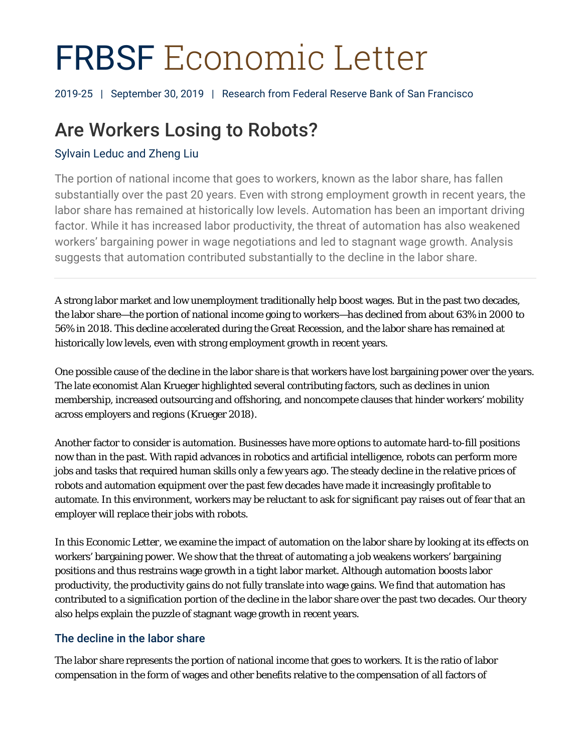# FRBSF Economic Letter

2019-25 | September 30, 2019 | Research from Federal Reserve Bank of San Francisco

## Are Workers Losing to Robots?

### Sylvain Leduc and Zheng Liu

The portion of national income that goes to workers, known as the labor share, has fallen substantially over the past 20 years. Even with strong employment growth in recent years, the labor share has remained at historically low levels. Automation has been an important driving factor. While it has increased labor productivity, the threat of automation has also weakened workers' bargaining power in wage negotiations and led to stagnant wage growth. Analysis suggests that automation contributed substantially to the decline in the labor share.

A strong labor market and low unemployment traditionally help boost wages. But in the past two decades, the labor share—the portion of national income going to workers—has declined from about 63% in 2000 to 56% in 2018. This decline accelerated during the Great Recession, and the labor share has remained at historically low levels, even with strong employment growth in recent years.

One possible cause of the decline in the labor share is that workers have lost bargaining power over the years. The late economist Alan Krueger highlighted several contributing factors, such as declines in union membership, increased outsourcing and offshoring, and noncompete clauses that hinder workers' mobility across employers and regions (Krueger 2018).

Another factor to consider is automation. Businesses have more options to automate hard-to-fill positions now than in the past. With rapid advances in robotics and artificial intelligence, robots can perform more jobs and tasks that required human skills only a few years ago. The steady decline in the relative prices of robots and automation equipment over the past few decades have made it increasingly profitable to automate. In this environment, workers may be reluctant to ask for significant pay raises out of fear that an employer will replace their jobs with robots.

In this *Economic Letter*, we examine the impact of automation on the labor share by looking at its effects on workers' bargaining power. We show that the threat of automating a job weakens workers' bargaining positions and thus restrains wage growth in a tight labor market. Although automation boosts labor productivity, the productivity gains do not fully translate into wage gains. We find that automation has contributed to a signification portion of the decline in the labor share over the past two decades. Our theory also helps explain the puzzle of stagnant wage growth in recent years.

### The decline in the labor share

The labor share represents the portion of national income that goes to workers. It is the ratio of labor compensation in the form of wages and other benefits relative to the compensation of all factors of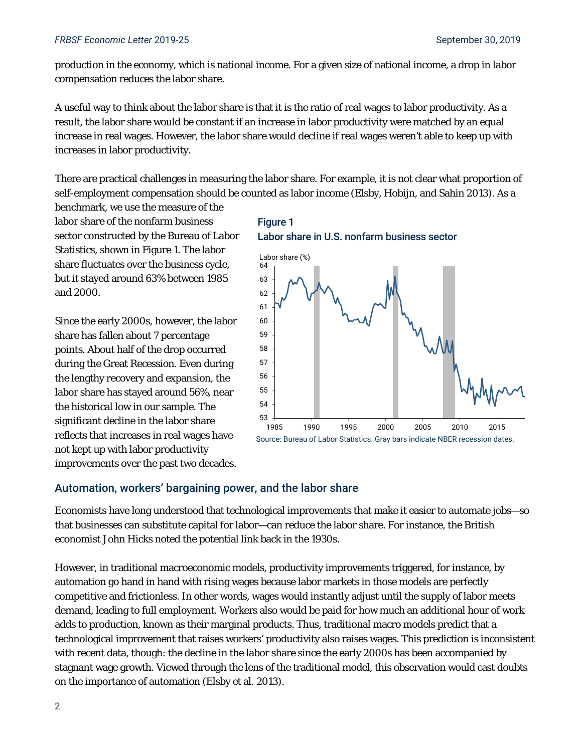#### *FRBSF Economic Letter* 2019-25 September 30, 2019

production in the economy, which is national income. For a given size of national income, a drop in labor compensation reduces the labor share.

A useful way to think about the labor share is that it is the ratio of real wages to labor productivity. As a result, the labor share would be constant if an increase in labor productivity were matched by an equal increase in real wages. However, the labor share would decline if real wages weren't able to keep up with increases in labor productivity.

There are practical challenges in measuring the labor share. For example, it is not clear what proportion of self-employment compensation should be counted as labor income (Elsby, Hobijn, and Sahin 2013). As a

benchmark, we use the measure of the labor share of the nonfarm business sector constructed by the Bureau of Labor Statistics, shown in Figure 1. The labor share fluctuates over the business cycle, but it stayed around 63% between 1985 and 2000.

Since the early 2000s, however, the labor share has fallen about 7 percentage points. About half of the drop occurred during the Great Recession. Even during the lengthy recovery and expansion, the labor share has stayed around 56%, near the historical low in our sample. The significant decline in the labor share reflects that increases in real wages have not kept up with labor productivity improvements over the past two decades.

#### Figure 1 Labor share in U.S. nonfarm business sector



#### Automation, workers' bargaining power, and the labor share

Economists have long understood that technological improvements that make it easier to automate jobs—so that businesses can substitute capital for labor—can reduce the labor share. For instance, the British economist John Hicks noted the potential link back in the 1930s.

However, in traditional macroeconomic models, productivity improvements triggered, for instance, by automation go hand in hand with rising wages because labor markets in those models are perfectly competitive and frictionless. In other words, wages would instantly adjust until the supply of labor meets demand, leading to full employment. Workers also would be paid for how much an additional hour of work adds to production, known as their marginal products. Thus, traditional macro models predict that a technological improvement that raises workers' productivity also raises wages. This prediction is inconsistent with recent data, though: the decline in the labor share since the early 2000s has been accompanied by stagnant wage growth. Viewed through the lens of the traditional model, this observation would cast doubts on the importance of automation (Elsby et al. 2013).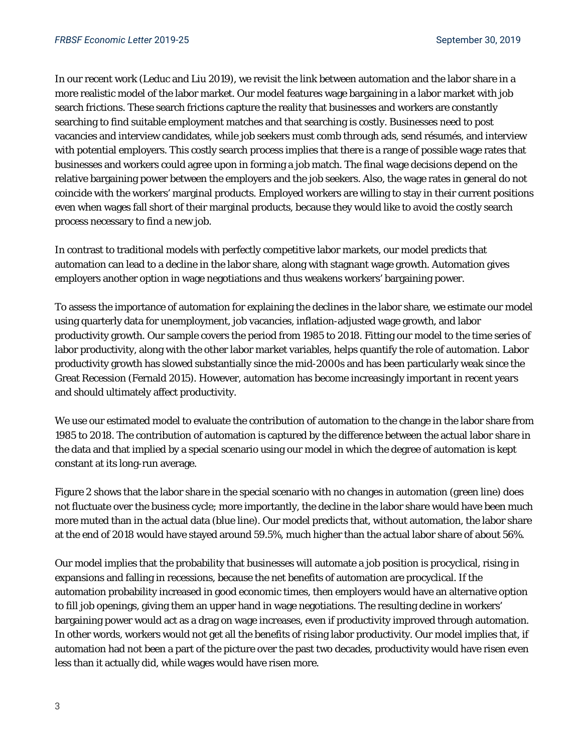In our recent work (Leduc and Liu 2019), we revisit the link between automation and the labor share in a more realistic model of the labor market. Our model features wage bargaining in a labor market with job search frictions. These search frictions capture the reality that businesses and workers are constantly searching to find suitable employment matches and that searching is costly. Businesses need to post vacancies and interview candidates, while job seekers must comb through ads, send résumés, and interview with potential employers. This costly search process implies that there is a range of possible wage rates that businesses and workers could agree upon in forming a job match. The final wage decisions depend on the relative bargaining power between the employers and the job seekers. Also, the wage rates in general do not coincide with the workers' marginal products. Employed workers are willing to stay in their current positions even when wages fall short of their marginal products, because they would like to avoid the costly search process necessary to find a new job.

In contrast to traditional models with perfectly competitive labor markets, our model predicts that automation can lead to a decline in the labor share, along with stagnant wage growth. Automation gives employers another option in wage negotiations and thus weakens workers' bargaining power.

To assess the importance of automation for explaining the declines in the labor share, we estimate our model using quarterly data for unemployment, job vacancies, inflation-adjusted wage growth, and labor productivity growth. Our sample covers the period from 1985 to 2018. Fitting our model to the time series of labor productivity, along with the other labor market variables, helps quantify the role of automation. Labor productivity growth has slowed substantially since the mid-2000s and has been particularly weak since the Great Recession (Fernald 2015). However, automation has become increasingly important in recent years and should ultimately affect productivity.

We use our estimated model to evaluate the contribution of automation to the change in the labor share from 1985 to 2018. The contribution of automation is captured by the difference between the actual labor share in the data and that implied by a special scenario using our model in which the degree of automation is kept constant at its long-run average.

Figure 2 shows that the labor share in the special scenario with no changes in automation (green line) does not fluctuate over the business cycle; more importantly, the decline in the labor share would have been much more muted than in the actual data (blue line). Our model predicts that, without automation, the labor share at the end of 2018 would have stayed around 59.5%, much higher than the actual labor share of about 56%.

Our model implies that the probability that businesses will automate a job position is procyclical, rising in expansions and falling in recessions, because the net benefits of automation are procyclical. If the automation probability increased in good economic times, then employers would have an alternative option to fill job openings, giving them an upper hand in wage negotiations. The resulting decline in workers' bargaining power would act as a drag on wage increases, even if productivity improved through automation. In other words, workers would not get all the benefits of rising labor productivity. Our model implies that, if automation had not been a part of the picture over the past two decades, productivity would have risen even less than it actually did, while wages would have risen more.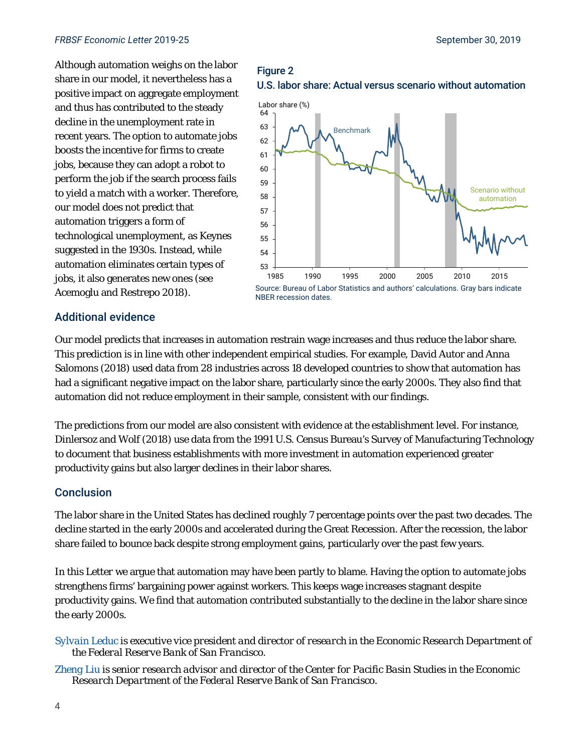Although automation weighs on the labor share in our model, it nevertheless has a positive impact on aggregate employment and thus has contributed to the steady decline in the unemployment rate in recent years. The option to automate jobs boosts the incentive for firms to create jobs, because they can adopt a robot to perform the job if the search process fails to yield a match with a worker. Therefore, our model does not predict that automation triggers a form of technological unemployment, as Keynes suggested in the 1930s. Instead, while automation eliminates certain types of jobs, it also generates new ones (see Acemoglu and Restrepo 2018).





#### Additional evidence

Our model predicts that increases in automation restrain wage increases and thus reduce the labor share. This prediction is in line with other independent empirical studies. For example, David Autor and Anna Salomons (2018) used data from 28 industries across 18 developed countries to show that automation has had a significant negative impact on the labor share, particularly since the early 2000s. They also find that automation did not reduce employment in their sample, consistent with our findings.

The predictions from our model are also consistent with evidence at the establishment level. For instance, Dinlersoz and Wolf (2018) use data from the 1991 U.S. Census Bureau's Survey of Manufacturing Technology to document that business establishments with more investment in automation experienced greater productivity gains but also larger declines in their labor shares.

#### Conclusion

The labor share in the United States has declined roughly 7 percentage points over the past two decades. The decline started in the early 2000s and accelerated during the Great Recession. After the recession, the labor share failed to bounce back despite strong employment gains, particularly over the past few years.

In this *Letter* we argue that automation may have been partly to blame. Having the option to automate jobs strengthens firms' bargaining power against workers. This keeps wage increases stagnant despite productivity gains. We find that automation contributed substantially to the decline in the labor share since the early 2000s.

- *[Sylvain Leduc i](https://www.frbsf.org/economic-research/economists/sylvain-leduc/)s executive vice president and director of research in the Economic Research Department of the Federal Reserve Bank of San Francisco.*
- *[Zheng Liu](https://www.frbsf.org/economic-research/economists/zheng-liu/) is senior research advisor and director of the Center for Pacific Basin Studies in the Economic Research Department of the Federal Reserve Bank of San Francisco.*